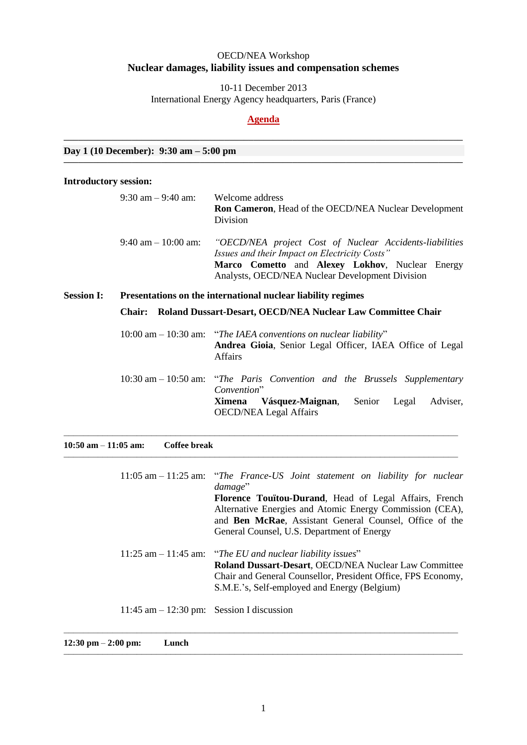## OECD/NEA Workshop **Nuclear damages, liability issues and compensation schemes**

10-11 December 2013 International Energy Agency headquarters, Paris (France)

## **Agenda**

**––––––––––––––––––––––––––––––––––––––––––––––––––––––––––––––––––––––––––––––––––**

**––––––––––––––––––––––––––––––––––––––––––––––––––––––––––––––––––––––––––––––––––**

**Day 1 (10 December): 9:30 am – 5:00 pm**

## **Introductory session:**

|                                                                                   | $9:30$ am $-9:40$ am:                                                     | Welcome address<br><b>Ron Cameron, Head of the OECD/NEA Nuclear Development</b><br>Division                                                                                                                    |  |  |  |
|-----------------------------------------------------------------------------------|---------------------------------------------------------------------------|----------------------------------------------------------------------------------------------------------------------------------------------------------------------------------------------------------------|--|--|--|
|                                                                                   | $9:40$ am $-10:00$ am:                                                    | "OECD/NEA project Cost of Nuclear Accidents-liabilities<br>Issues and their Impact on Electricity Costs"<br>Marco Cometto and Alexey Lokhov, Nuclear Energy<br>Analysts, OECD/NEA Nuclear Development Division |  |  |  |
| <b>Session I:</b><br>Presentations on the international nuclear liability regimes |                                                                           |                                                                                                                                                                                                                |  |  |  |
|                                                                                   | <b>Chair:</b> Roland Dussart-Desart, OECD/NEA Nuclear Law Committee Chair |                                                                                                                                                                                                                |  |  |  |
|                                                                                   |                                                                           | $10:00$ am $- 10:30$ am: "The IAEA conventions on nuclear liability"<br>Andrea Gioia, Senior Legal Officer, IAEA Office of Legal<br><b>Affairs</b>                                                             |  |  |  |
|                                                                                   |                                                                           | 10:30 am - 10:50 am: "The Paris Convention and the Brussels Supplementary<br>Convention"<br>Vásquez-Maignan,<br>Senior<br>Adviser,<br>Legal<br><b>Ximena</b><br><b>OECD/NEA Legal Affairs</b>                  |  |  |  |

| $10:50$ am $-11:05$ am: | Coffee break |                                                                                                                                                                                                                                       |
|-------------------------|--------------|---------------------------------------------------------------------------------------------------------------------------------------------------------------------------------------------------------------------------------------|
|                         |              | 11:05 am - 11:25 am: "The France-US Joint statement on liability for nuclear<br>damage"<br><b>Florence Touïtou-Durand, Head of Legal Affairs, French</b>                                                                              |
|                         |              | Alternative Energies and Atomic Energy Commission (CEA),<br>and Ben McRae, Assistant General Counsel, Office of the<br>General Counsel, U.S. Department of Energy                                                                     |
|                         |              | 11:25 am $-$ 11:45 am: "The EU and nuclear liability issues"<br>Roland Dussart-Desart, OECD/NEA Nuclear Law Committee<br>Chair and General Counsellor, President Office, FPS Economy,<br>S.M.E.'s, Self-employed and Energy (Belgium) |
|                         |              | 11:45 am $-$ 12:30 pm: Session I discussion                                                                                                                                                                                           |

–––––––––––––––––––––––––––––––––––––––––––––––––––––––––––––––––––––––––––––––––

**12:30 pm** – **2:00 pm: Lunch**

––––––––––––––––––––––––––––––––––––––––––––––––––––––––––––––––––––––––––––––––––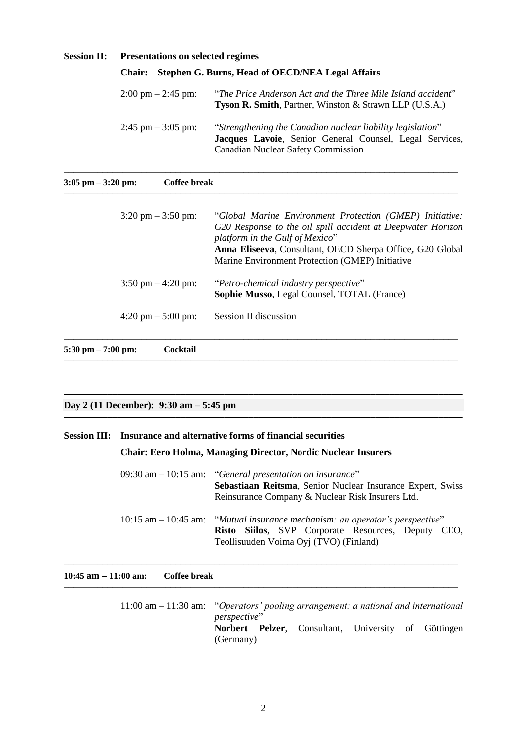| <b>Session II:</b> | <b>Presentations on selected regimes</b>                          |                                                                                                                                                                    |  |  |  |
|--------------------|-------------------------------------------------------------------|--------------------------------------------------------------------------------------------------------------------------------------------------------------------|--|--|--|
|                    | Stephen G. Burns, Head of OECD/NEA Legal Affairs<br><b>Chair:</b> |                                                                                                                                                                    |  |  |  |
|                    | $2:00 \text{ pm} - 2:45 \text{ pm}$                               | "The Price Anderson Act and the Three Mile Island accident"<br><b>Tyson R. Smith, Partner, Winston &amp; Strawn LLP (U.S.A.)</b>                                   |  |  |  |
|                    | $2:45$ pm $-3:05$ pm:                                             | "Strengthening the Canadian nuclear liability legislation"<br>Jacques Lavoie, Senior General Counsel, Legal Services,<br><b>Canadian Nuclear Safety Commission</b> |  |  |  |

–––––––––––––––––––––––––––––––––––––––––––––––––––––––––––––––––––––––––––––––––

| $3:05$ pm $-3:20$ pm:<br>Coffee break |                                                                                                                                                                                                                                                                            |
|---------------------------------------|----------------------------------------------------------------------------------------------------------------------------------------------------------------------------------------------------------------------------------------------------------------------------|
| $3:20 \text{ pm} - 3:50 \text{ pm}$   | "Global Marine Environment Protection (GMEP) Initiative:<br>G20 Response to the oil spill accident at Deepwater Horizon<br>platform in the Gulf of Mexico"<br>Anna Eliseeva, Consultant, OECD Sherpa Office, G20 Global<br>Marine Environment Protection (GMEP) Initiative |
| $3:50 \text{ pm} - 4:20 \text{ pm}$   | "Petro-chemical industry perspective"<br><b>Sophie Musso, Legal Counsel, TOTAL (France)</b>                                                                                                                                                                                |
| $4:20 \text{ pm} - 5:00 \text{ pm}$   | Session II discussion                                                                                                                                                                                                                                                      |
| $5:30$ pm $- 7:00$ pm:<br>Cocktail    |                                                                                                                                                                                                                                                                            |

### **Day 2 (11 December): 9:30 am – 5:45 pm**

## **Session III: Insurance and alternative forms of financial securities**

## **Chair: Eero Holma, Managing Director, Nordic Nuclear Insurers**

–––––––––––––––––––––––––––––––––––––––––––––––––––––––––––––––––––––––––––––––––

–––––––––––––––––––––––––––––––––––––––––––––––––––––––––––––––––––––––––––––––––

**––––––––––––––––––––––––––––––––––––––––––––––––––––––––––––––––––––––––––––––––––**

**––––––––––––––––––––––––––––––––––––––––––––––––––––––––––––––––––––––––––––––––––**

| 09:30 am $-$ 10:15 am: "General presentation on insurance"<br>Sebastiaan Reitsma, Senior Nuclear Insurance Expert, Swiss<br>Reinsurance Company & Nuclear Risk Insurers Ltd.    |  |  |  |  |
|---------------------------------------------------------------------------------------------------------------------------------------------------------------------------------|--|--|--|--|
| $10:15$ am $-10:45$ am: "Mutual insurance mechanism: an operator's perspective"<br>Risto Siilos, SVP Corporate Resources, Deputy CEO,<br>Teollisuuden Voima Oyj (TVO) (Finland) |  |  |  |  |

| $10:45$ am $-11:00$ am:<br>Coffee break |  |  |  |  |
|-----------------------------------------|--|--|--|--|
|-----------------------------------------|--|--|--|--|

11:00 am – 11:30 am: "*Operators' pooling arrangement: a national and international perspective*" **Norbert Pelzer**, Consultant, University of Göttingen (Germany)